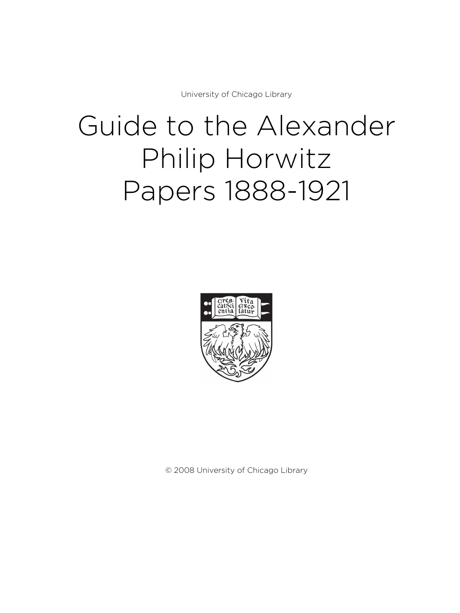University of Chicago Library

# Guide to the Alexander Philip Horwitz Papers 1888-1921



© 2008 University of Chicago Library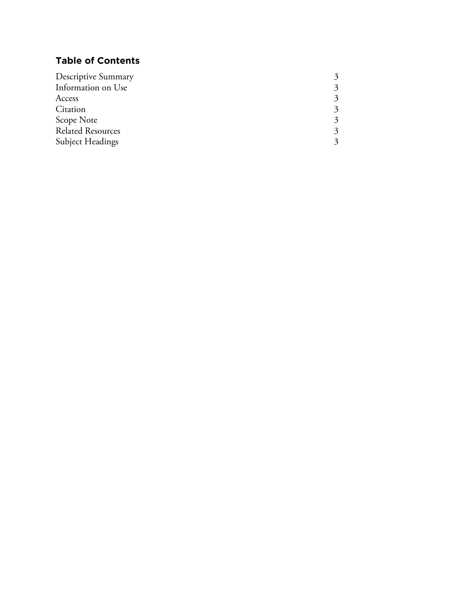# **Table of Contents**

| Descriptive Summary      |  |
|--------------------------|--|
| Information on Use       |  |
| Access                   |  |
| Citation                 |  |
| Scope Note               |  |
| <b>Related Resources</b> |  |
| <b>Subject Headings</b>  |  |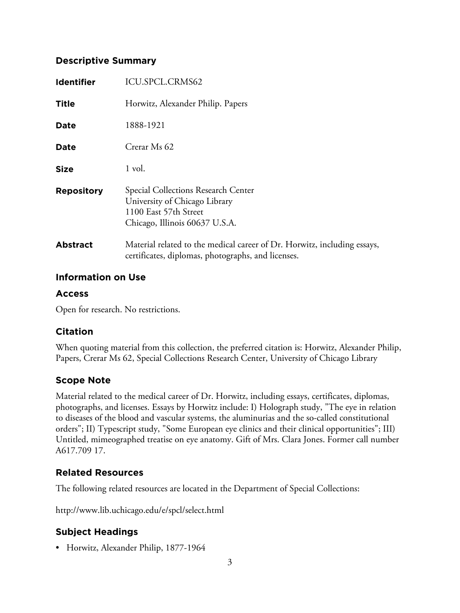#### **Descriptive Summary**

| <b>Identifier</b> | ICU.SPCL.CRMS62                                                                                                                 |
|-------------------|---------------------------------------------------------------------------------------------------------------------------------|
| Title             | Horwitz, Alexander Philip. Papers                                                                                               |
| <b>Date</b>       | 1888-1921                                                                                                                       |
| <b>Date</b>       | Crerar Ms 62                                                                                                                    |
| <b>Size</b>       | 1 vol.                                                                                                                          |
| <b>Repository</b> | Special Collections Research Center<br>University of Chicago Library<br>1100 East 57th Street<br>Chicago, Illinois 60637 U.S.A. |
| <b>Abstract</b>   | Material related to the medical career of Dr. Horwitz, including essays,<br>certificates, diplomas, photographs, and licenses.  |

#### **Information on Use**

## **Access**

Open for research. No restrictions.

## **Citation**

When quoting material from this collection, the preferred citation is: Horwitz, Alexander Philip, Papers, Crerar Ms 62, Special Collections Research Center, University of Chicago Library

## **Scope Note**

Material related to the medical career of Dr. Horwitz, including essays, certificates, diplomas, photographs, and licenses. Essays by Horwitz include: I) Holograph study, "The eye in relation to diseases of the blood and vascular systems, the aluminurias and the so-called constitutional orders"; II) Typescript study, "Some European eye clinics and their clinical opportunities"; III) Untitled, mimeographed treatise on eye anatomy. Gift of Mrs. Clara Jones. Former call number A617.709 17.

# **Related Resources**

The following related resources are located in the Department of Special Collections:

http://www.lib.uchicago.edu/e/spcl/select.html

# **Subject Headings**

• Horwitz, Alexander Philip, 1877-1964